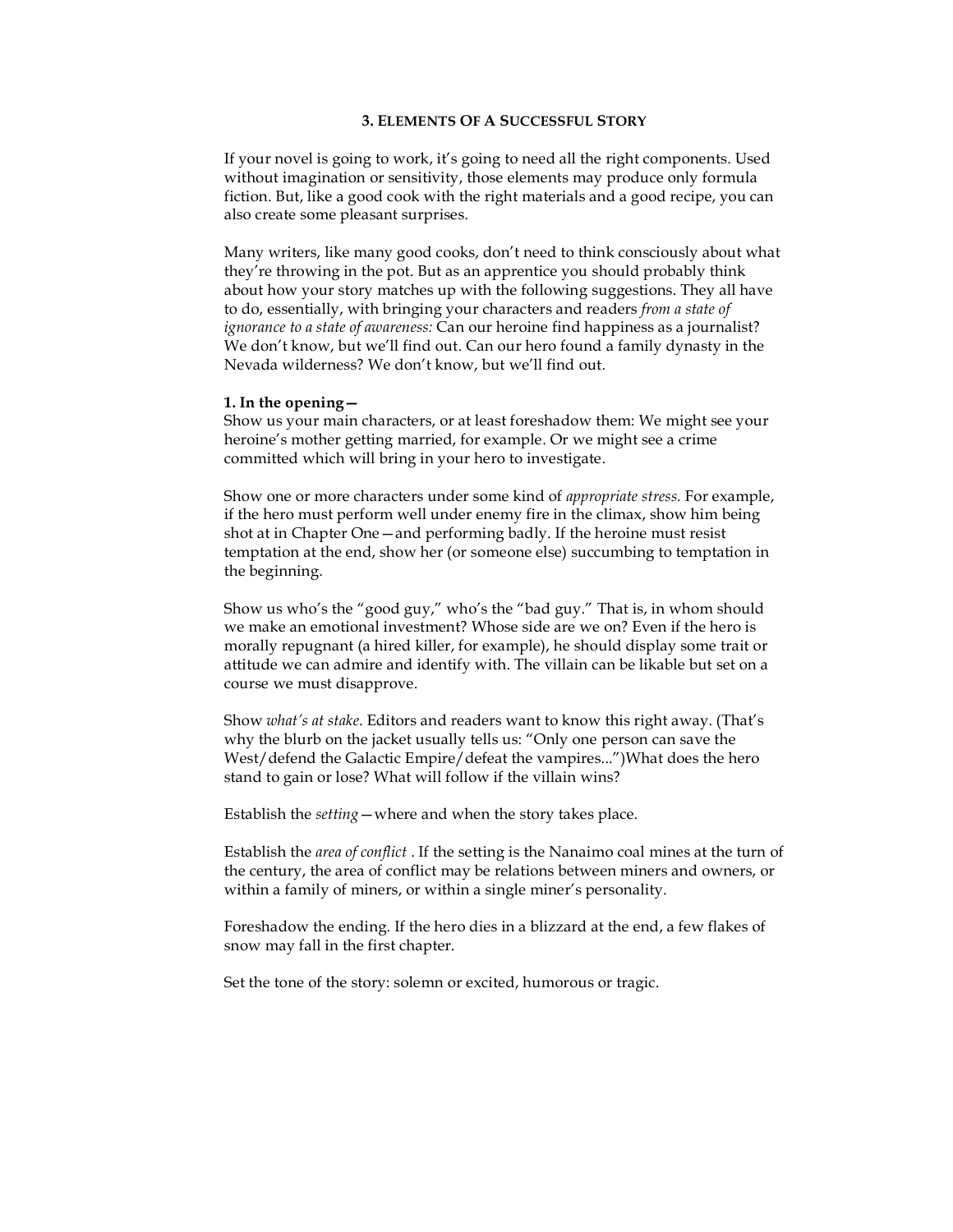# **3. ELEMENTS OF A SUCCESSFUL STORY**

If your novel is going to work, it's going to need all the right components. Used without imagination or sensitivity, those elements may produce only formula fiction. But, like a good cook with the right materials and a good recipe, you can also create some pleasant surprises.

Many writers, like many good cooks, don't need to think consciously about what they're throwing in the pot. But as an apprentice you should probably think about how your story matches up with the following suggestions. They all have to do, essentially, with bringing your characters and readers *from a state of ignorance to a state of awareness:* Can our heroine find happiness as a journalist? We don't know, but we'll find out. Can our hero found a family dynasty in the Nevada wilderness? We don't know, but we'll find out.

#### **1. In the opening—**

Show us your main characters, or at least foreshadow them: We might see your heroine's mother getting married, for example. Or we might see a crime committed which will bring in your hero to investigate.

Show one or more characters under some kind of *appropriate stress.* For example, if the hero must perform well under enemy fire in the climax, show him being shot at in Chapter One—and performing badly. If the heroine must resist temptation at the end, show her (or someone else) succumbing to temptation in the beginning.

Show us who's the "good guy," who's the "bad guy." That is, in whom should we make an emotional investment? Whose side are we on? Even if the hero is morally repugnant (a hired killer, for example), he should display some trait or attitude we can admire and identify with. The villain can be likable but set on a course we must disapprove.

Show *what's at stake*. Editors and readers want to know this right away. (That's why the blurb on the jacket usually tells us: "Only one person can save the West/defend the Galactic Empire/defeat the vampires...")What does the hero stand to gain or lose? What will follow if the villain wins?

Establish the *setting*—where and when the story takes place.

Establish the *area of conflict* . If the setting is the Nanaimo coal mines at the turn of the century, the area of conflict may be relations between miners and owners, or within a family of miners, or within a single miner's personality.

Foreshadow the ending. If the hero dies in a blizzard at the end, a few flakes of snow may fall in the first chapter.

Set the tone of the story: solemn or excited, humorous or tragic.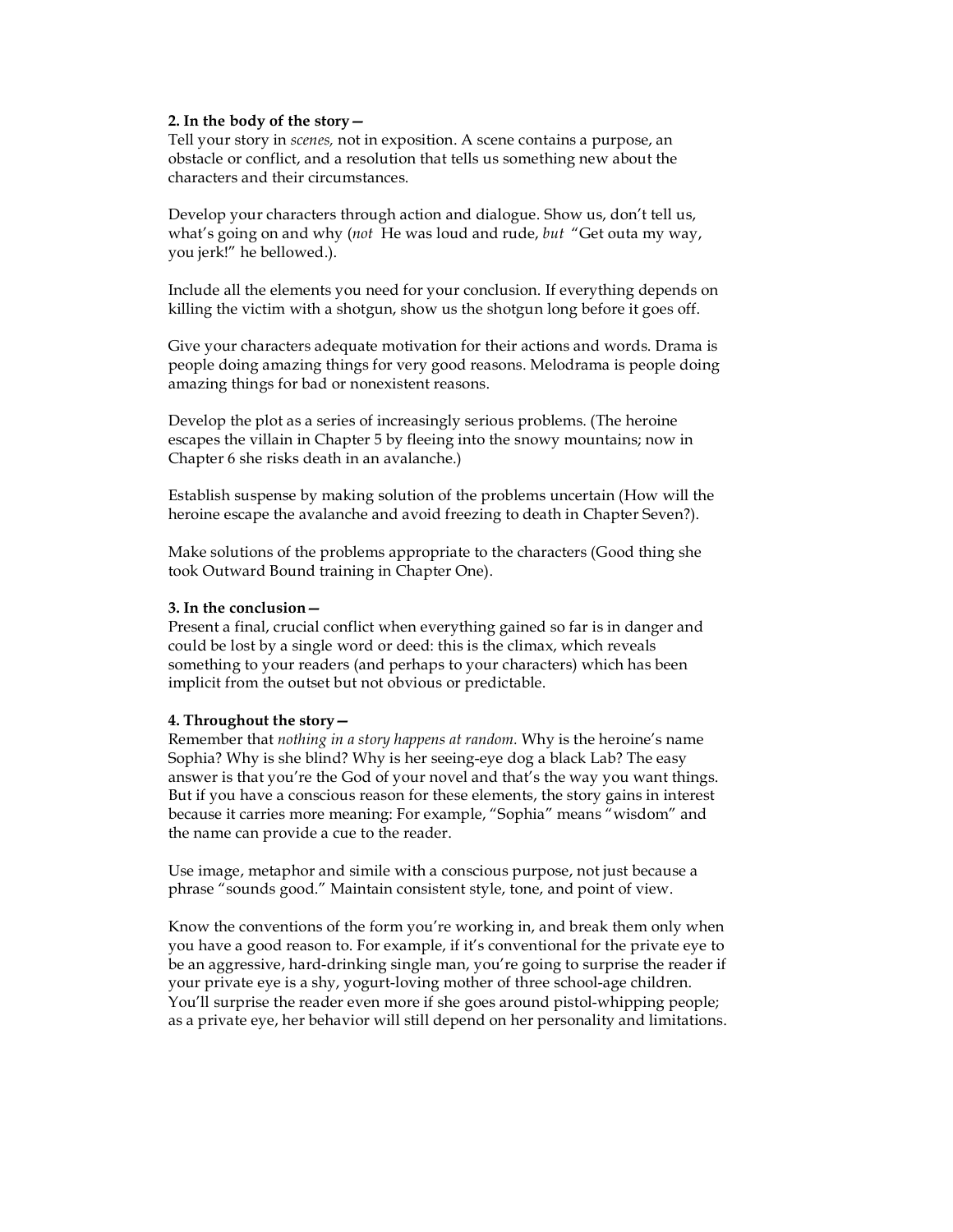### **2. In the body of the story—**

Tell your story in *scenes,* not in exposition. A scene contains a purpose, an obstacle or conflict, and a resolution that tells us something new about the characters and their circumstances.

Develop your characters through action and dialogue. Show us, don't tell us, what's going on and why (*not* He was loud and rude, *but* "Get outa my way, you jerk!" he bellowed.).

Include all the elements you need for your conclusion. If everything depends on killing the victim with a shotgun, show us the shotgun long before it goes off.

Give your characters adequate motivation for their actions and words. Drama is people doing amazing things for very good reasons. Melodrama is people doing amazing things for bad or nonexistent reasons.

Develop the plot as a series of increasingly serious problems. (The heroine escapes the villain in Chapter 5 by fleeing into the snowy mountains; now in Chapter 6 she risks death in an avalanche.)

Establish suspense by making solution of the problems uncertain (How will the heroine escape the avalanche and avoid freezing to death in Chapter Seven?).

Make solutions of the problems appropriate to the characters (Good thing she took Outward Bound training in Chapter One).

## **3. In the conclusion—**

Present a final, crucial conflict when everything gained so far is in danger and could be lost by a single word or deed: this is the climax, which reveals something to your readers (and perhaps to your characters) which has been implicit from the outset but not obvious or predictable.

### **4. Throughout the story—**

Remember that *nothing in a story happens at random.* Why is the heroine's name Sophia? Why is she blind? Why is her seeing-eye dog a black Lab? The easy answer is that you're the God of your novel and that's the way you want things. But if you have a conscious reason for these elements, the story gains in interest because it carries more meaning: For example, "Sophia" means "wisdom" and the name can provide a cue to the reader.

Use image, metaphor and simile with a conscious purpose, not just because a phrase "sounds good." Maintain consistent style, tone, and point of view.

Know the conventions of the form you're working in, and break them only when you have a good reason to. For example, if it's conventional for the private eye to be an aggressive, hard-drinking single man, you're going to surprise the reader if your private eye is a shy, yogurt-loving mother of three school-age children. You'll surprise the reader even more if she goes around pistol-whipping people; as a private eye, her behavior will still depend on her personality and limitations.